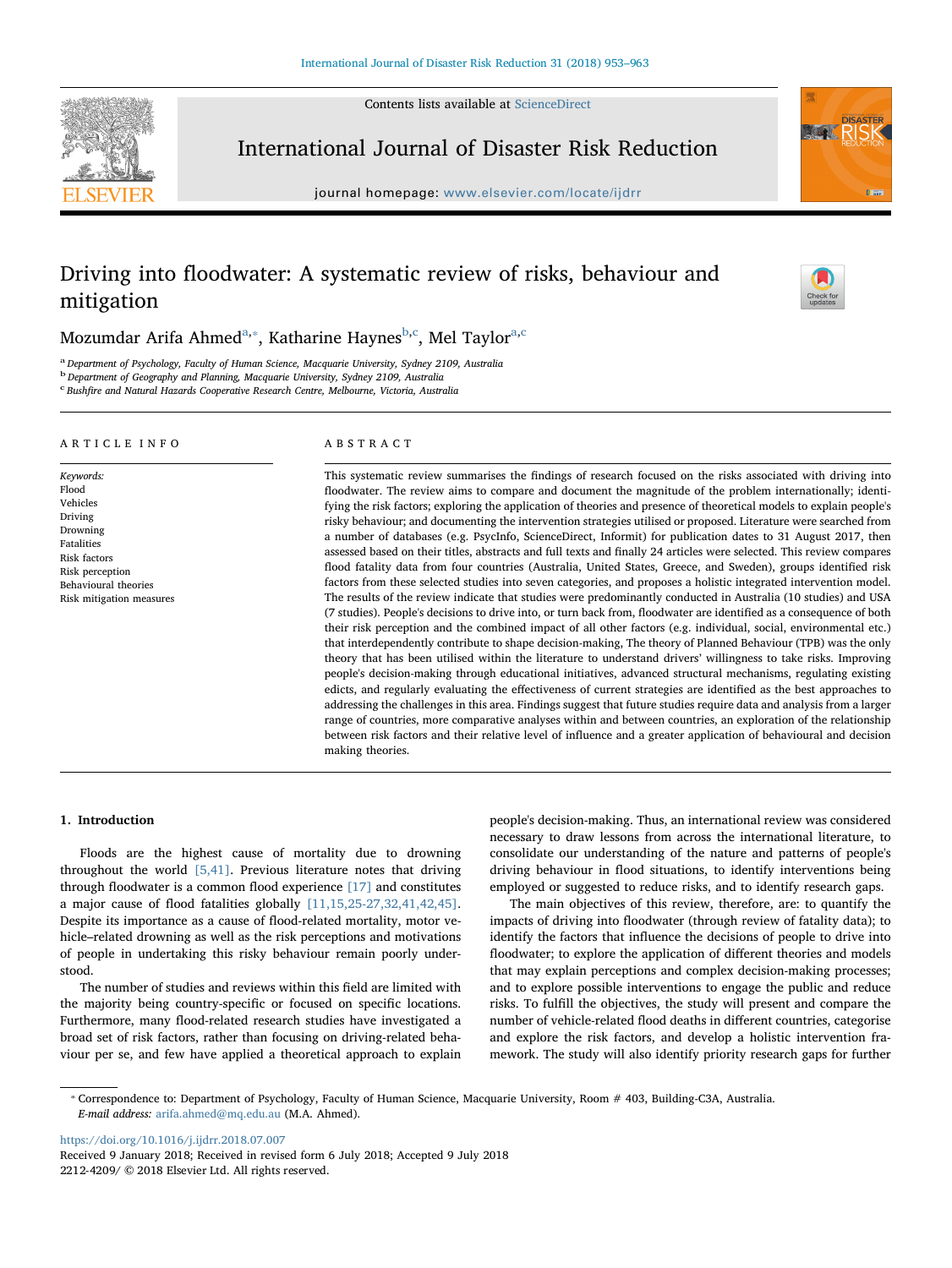Contents lists available at [ScienceDirect](http://www.sciencedirect.com/science/journal/22124209)



International Journal of Disaster Risk Reduction

journal homepage: [www.elsevier.com/locate/ijdrr](https://www.elsevier.com/locate/ijdrr)



# Driving into floodwater: A systematic review of risks, behaviour and mitigation



Mozumdar Arifa Ahmed<sup>[a,](#page-0-0)</sup>\*, Katharine Haynes<sup>[b](#page-0-2)[,c](#page-0-3)</sup>, Mel Taylor<sup>a,[c](#page-0-3)</sup>

<span id="page-0-0"></span>a Department of Psychology, Faculty of Human Science, Macquarie University, Sydney 2109, Australia

<span id="page-0-2"></span><sup>b</sup> Department of Geography and Planning, Macquarie University, Sydney 2109, Australia

<span id="page-0-3"></span><sup>c</sup> Bushfire and Natural Hazards Cooperative Research Centre, Melbourne, Victoria, Australia

#### ARTICLE INFO

Keywords: Flood Vehicles Driving Drowning Fatalities Risk factors Risk perception Behavioural theories Risk mitigation measures

#### ABSTRACT

This systematic review summarises the findings of research focused on the risks associated with driving into floodwater. The review aims to compare and document the magnitude of the problem internationally; identifying the risk factors; exploring the application of theories and presence of theoretical models to explain people's risky behaviour; and documenting the intervention strategies utilised or proposed. Literature were searched from a number of databases (e.g. PsycInfo, ScienceDirect, Informit) for publication dates to 31 August 2017, then assessed based on their titles, abstracts and full texts and finally 24 articles were selected. This review compares flood fatality data from four countries (Australia, United States, Greece, and Sweden), groups identified risk factors from these selected studies into seven categories, and proposes a holistic integrated intervention model. The results of the review indicate that studies were predominantly conducted in Australia (10 studies) and USA (7 studies). People's decisions to drive into, or turn back from, floodwater are identified as a consequence of both their risk perception and the combined impact of all other factors (e.g. individual, social, environmental etc.) that interdependently contribute to shape decision-making, The theory of Planned Behaviour (TPB) was the only theory that has been utilised within the literature to understand drivers' willingness to take risks. Improving people's decision-making through educational initiatives, advanced structural mechanisms, regulating existing edicts, and regularly evaluating the effectiveness of current strategies are identified as the best approaches to addressing the challenges in this area. Findings suggest that future studies require data and analysis from a larger range of countries, more comparative analyses within and between countries, an exploration of the relationship between risk factors and their relative level of influence and a greater application of behavioural and decision making theories.

# 1. Introduction

Floods are the highest cause of mortality due to drowning throughout the world  $[5,41]$ . Previous literature notes that driving through floodwater is a common flood experience [\[17\]](#page--1-1) and constitutes a major cause of flood fatalities globally [\[11,15,25-27,32,41,42,45\]](#page--1-2). Despite its importance as a cause of flood-related mortality, motor vehicle–related drowning as well as the risk perceptions and motivations of people in undertaking this risky behaviour remain poorly understood.

The number of studies and reviews within this field are limited with the majority being country-specific or focused on specific locations. Furthermore, many flood-related research studies have investigated a broad set of risk factors, rather than focusing on driving-related behaviour per se, and few have applied a theoretical approach to explain people's decision-making. Thus, an international review was considered necessary to draw lessons from across the international literature, to consolidate our understanding of the nature and patterns of people's driving behaviour in flood situations, to identify interventions being employed or suggested to reduce risks, and to identify research gaps.

The main objectives of this review, therefore, are: to quantify the impacts of driving into floodwater (through review of fatality data); to identify the factors that influence the decisions of people to drive into floodwater; to explore the application of different theories and models that may explain perceptions and complex decision-making processes; and to explore possible interventions to engage the public and reduce risks. To fulfill the objectives, the study will present and compare the number of vehicle-related flood deaths in different countries, categorise and explore the risk factors, and develop a holistic intervention framework. The study will also identify priority research gaps for further

<https://doi.org/10.1016/j.ijdrr.2018.07.007>

<span id="page-0-1"></span><sup>⁎</sup> Correspondence to: Department of Psychology, Faculty of Human Science, Macquarie University, Room # 403, Building-C3A, Australia. E-mail address: [arifa.ahmed@mq.edu.au](mailto:arifa.ahmed@mq.edu.au) (M.A. Ahmed).

Received 9 January 2018; Received in revised form 6 July 2018; Accepted 9 July 2018 2212-4209/ © 2018 Elsevier Ltd. All rights reserved.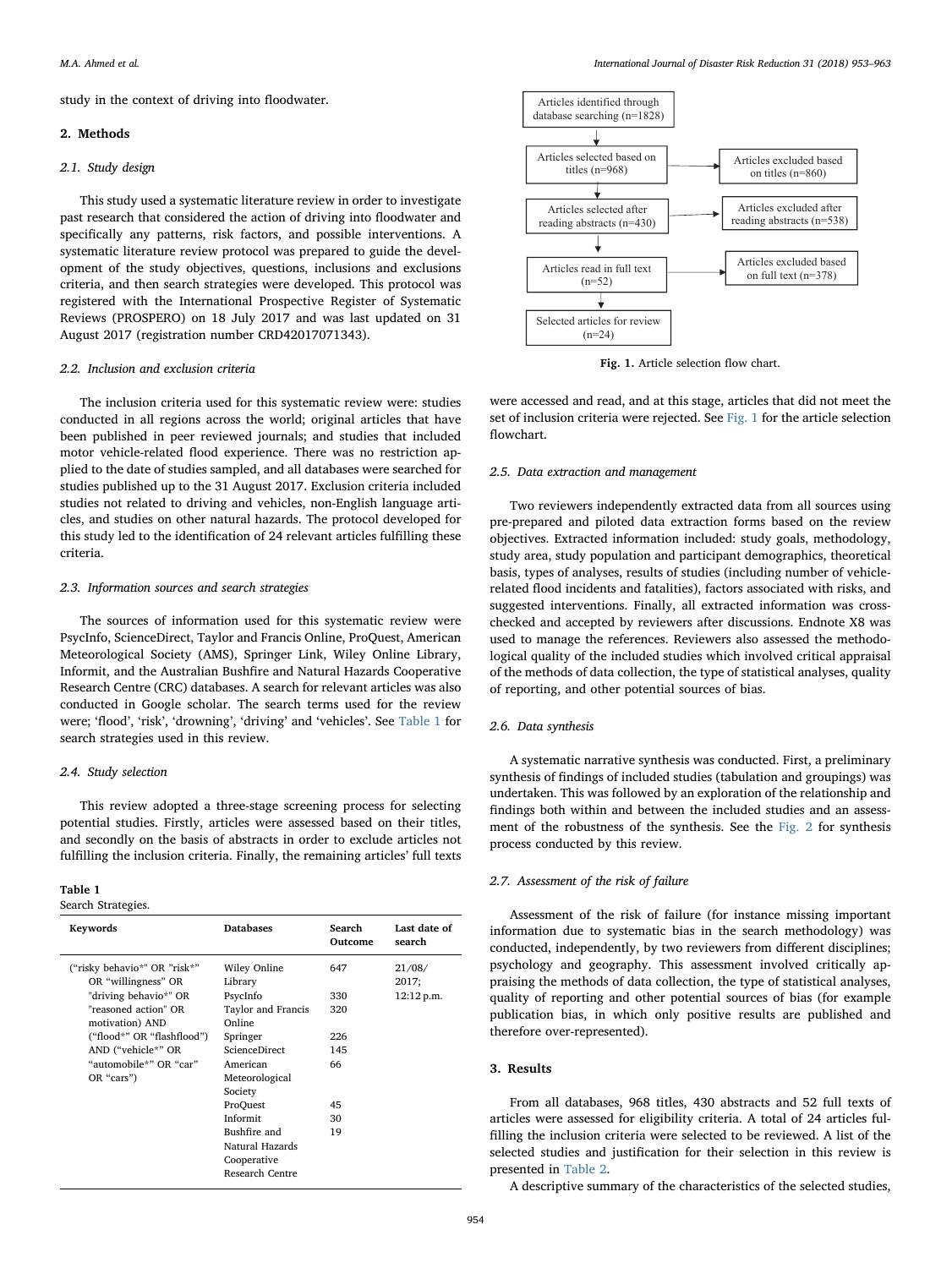study in the context of driving into floodwater.

#### 2. Methods

# 2.1. Study design

This study used a systematic literature review in order to investigate past research that considered the action of driving into floodwater and specifically any patterns, risk factors, and possible interventions. A systematic literature review protocol was prepared to guide the development of the study objectives, questions, inclusions and exclusions criteria, and then search strategies were developed. This protocol was registered with the International Prospective Register of Systematic Reviews (PROSPERO) on 18 July 2017 and was last updated on 31 August 2017 (registration number CRD42017071343).

# 2.2. Inclusion and exclusion criteria

The inclusion criteria used for this systematic review were: studies conducted in all regions across the world; original articles that have been published in peer reviewed journals; and studies that included motor vehicle-related flood experience. There was no restriction applied to the date of studies sampled, and all databases were searched for studies published up to the 31 August 2017. Exclusion criteria included studies not related to driving and vehicles, non-English language articles, and studies on other natural hazards. The protocol developed for this study led to the identification of 24 relevant articles fulfilling these criteria.

#### 2.3. Information sources and search strategies

The sources of information used for this systematic review were PsycInfo, ScienceDirect, Taylor and Francis Online, ProQuest, American Meteorological Society (AMS), Springer Link, Wiley Online Library, Informit, and the Australian Bushfire and Natural Hazards Cooperative Research Centre (CRC) databases. A search for relevant articles was also conducted in Google scholar. The search terms used for the review were; 'flood', 'risk', 'drowning', 'driving' and 'vehicles'. See [Table 1](#page-1-0) for search strategies used in this review.

# 2.4. Study selection

This review adopted a three-stage screening process for selecting potential studies. Firstly, articles were assessed based on their titles, and secondly on the basis of abstracts in order to exclude articles not fulfilling the inclusion criteria. Finally, the remaining articles' full texts

#### <span id="page-1-0"></span>Table 1

#### Search Strategies.

| Keywords                                            | <b>Databases</b>                      | Search<br>Outcome | Last date of<br>search |
|-----------------------------------------------------|---------------------------------------|-------------------|------------------------|
| ("risky behavio*" OR "risk*"<br>OR "willingness" OR | Wiley Online<br>Library               | 647               | 21/08/<br>2017;        |
| "driving behavio*" OR                               | PsycInfo                              | 330               | 12:12 p.m.             |
| "reasoned action" OR<br>motivation) AND             | Taylor and Francis<br>Online          | 320               |                        |
| ("flood*" OR "flashflood")                          | Springer                              | 226               |                        |
| AND ("vehicle*" OR                                  | <b>ScienceDirect</b>                  | 145               |                        |
| "automobile*" OR "car"<br>OR "cars")                | American<br>Meteorological<br>Society | 66                |                        |
|                                                     | ProQuest                              | 45                |                        |
|                                                     | Informit                              | 30                |                        |
|                                                     | Bushfire and                          | 19                |                        |
|                                                     | Natural Hazards                       |                   |                        |
|                                                     | Cooperative                           |                   |                        |
|                                                     | Research Centre                       |                   |                        |

<span id="page-1-1"></span>

Fig. 1. Article selection flow chart.

were accessed and read, and at this stage, articles that did not meet the set of inclusion criteria were rejected. See [Fig. 1](#page-1-1) for the article selection flowchart.

#### 2.5. Data extraction and management

Two reviewers independently extracted data from all sources using pre-prepared and piloted data extraction forms based on the review objectives. Extracted information included: study goals, methodology, study area, study population and participant demographics, theoretical basis, types of analyses, results of studies (including number of vehiclerelated flood incidents and fatalities), factors associated with risks, and suggested interventions. Finally, all extracted information was crosschecked and accepted by reviewers after discussions. Endnote X8 was used to manage the references. Reviewers also assessed the methodological quality of the included studies which involved critical appraisal of the methods of data collection, the type of statistical analyses, quality of reporting, and other potential sources of bias.

#### 2.6. Data synthesis

A systematic narrative synthesis was conducted. First, a preliminary synthesis of findings of included studies (tabulation and groupings) was undertaken. This was followed by an exploration of the relationship and findings both within and between the included studies and an assessment of the robustness of the synthesis. See the [Fig. 2](#page--1-3) for synthesis process conducted by this review.

#### 2.7. Assessment of the risk of failure

Assessment of the risk of failure (for instance missing important information due to systematic bias in the search methodology) was conducted, independently, by two reviewers from different disciplines; psychology and geography. This assessment involved critically appraising the methods of data collection, the type of statistical analyses, quality of reporting and other potential sources of bias (for example publication bias, in which only positive results are published and therefore over-represented).

### 3. Results

From all databases, 968 titles, 430 abstracts and 52 full texts of articles were assessed for eligibility criteria. A total of 24 articles fulfilling the inclusion criteria were selected to be reviewed. A list of the selected studies and justification for their selection in this review is presented in [Table 2.](#page--1-4)

A descriptive summary of the characteristics of the selected studies,